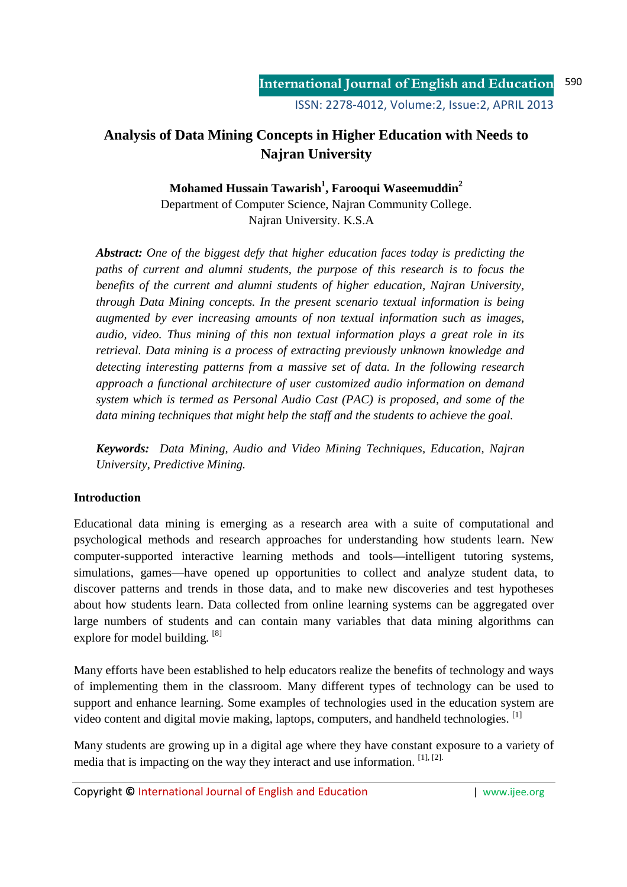# **Analysis of Data Mining Concepts in Higher Education with Needs to Najran University**

**Mohamed Hussain Tawarish<sup>1</sup> , Farooqui Waseemuddin<sup>2</sup>**

Department of Computer Science, Najran Community College. Najran University. K.S.A

*Abstract: One of the biggest defy that higher education faces today is predicting the paths of current and alumni students, the purpose of this research is to focus the benefits of the current and alumni students of higher education, Najran University, through Data Mining concepts. In the present scenario textual information is being augmented by ever increasing amounts of non textual information such as images, audio, video. Thus mining of this non textual information plays a great role in its retrieval. Data mining is a process of extracting previously unknown knowledge and detecting interesting patterns from a massive set of data. In the following research approach a functional architecture of user customized audio information on demand system which is termed as Personal Audio Cast (PAC) is proposed, and some of the data mining techniques that might help the staff and the students to achieve the goal.* 

*Keywords: Data Mining, Audio and Video Mining Techniques, Education, Najran University, Predictive Mining.* 

#### **Introduction**

Educational data mining is emerging as a research area with a suite of computational and psychological methods and research approaches for understanding how students learn. New computer-supported interactive learning methods and tools—intelligent tutoring systems, simulations, games—have opened up opportunities to collect and analyze student data, to discover patterns and trends in those data, and to make new discoveries and test hypotheses about how students learn. Data collected from online learning systems can be aggregated over large numbers of students and can contain many variables that data mining algorithms can explore for model building. <sup>[8]</sup>

Many efforts have been established to help educators realize the benefits of technology and ways of implementing them in the classroom. Many different types of technology can be used to support and enhance learning. Some examples of technologies used in the education system are video content and digital movie making, laptops, computers, and handheld technologies. <sup>[1]</sup>

Many students are growing up in a digital age where they have constant exposure to a variety of media that is impacting on the way they interact and use information. [1], [2].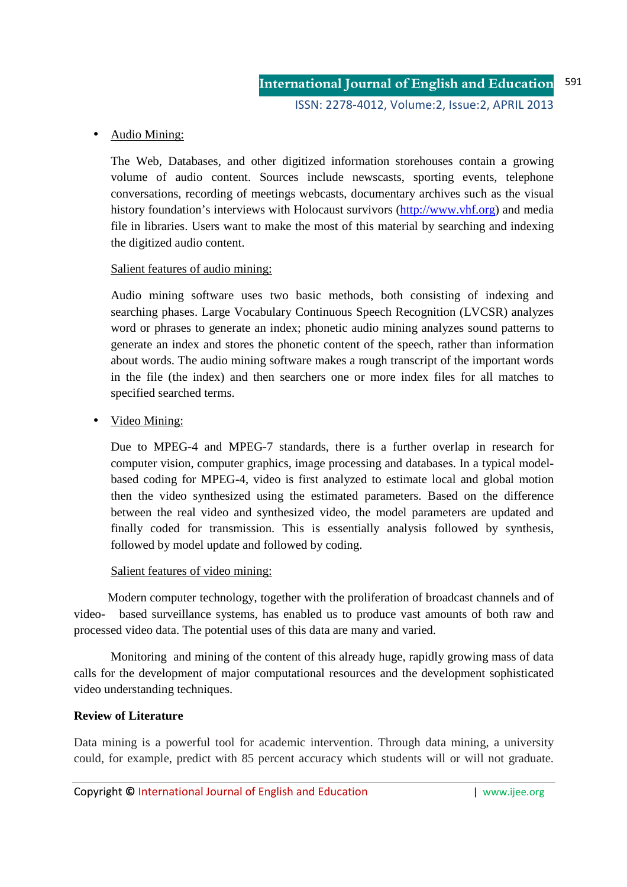### • Audio Mining:

The Web, Databases, and other digitized information storehouses contain a growing volume of audio content. Sources include newscasts, sporting events, telephone conversations, recording of meetings webcasts, documentary archives such as the visual history foundation's interviews with Holocaust survivors (http://www.vhf.org) and media file in libraries. Users want to make the most of this material by searching and indexing the digitized audio content.

#### Salient features of audio mining:

Audio mining software uses two basic methods, both consisting of indexing and searching phases. Large Vocabulary Continuous Speech Recognition (LVCSR) analyzes word or phrases to generate an index; phonetic audio mining analyzes sound patterns to generate an index and stores the phonetic content of the speech, rather than information about words. The audio mining software makes a rough transcript of the important words in the file (the index) and then searchers one or more index files for all matches to specified searched terms.

• Video Mining:

Due to MPEG-4 and MPEG-7 standards, there is a further overlap in research for computer vision, computer graphics, image processing and databases. In a typical modelbased coding for MPEG-4, video is first analyzed to estimate local and global motion then the video synthesized using the estimated parameters. Based on the difference between the real video and synthesized video, the model parameters are updated and finally coded for transmission. This is essentially analysis followed by synthesis, followed by model update and followed by coding.

# Salient features of video mining:

 Modern computer technology, together with the proliferation of broadcast channels and of video- based surveillance systems, has enabled us to produce vast amounts of both raw and processed video data. The potential uses of this data are many and varied.

Monitoring and mining of the content of this already huge, rapidly growing mass of data calls for the development of major computational resources and the development sophisticated video understanding techniques.

#### **Review of Literature**

Data mining is a powerful tool for academic intervention. Through data mining, a university could, for example, predict with 85 percent accuracy which students will or will not graduate.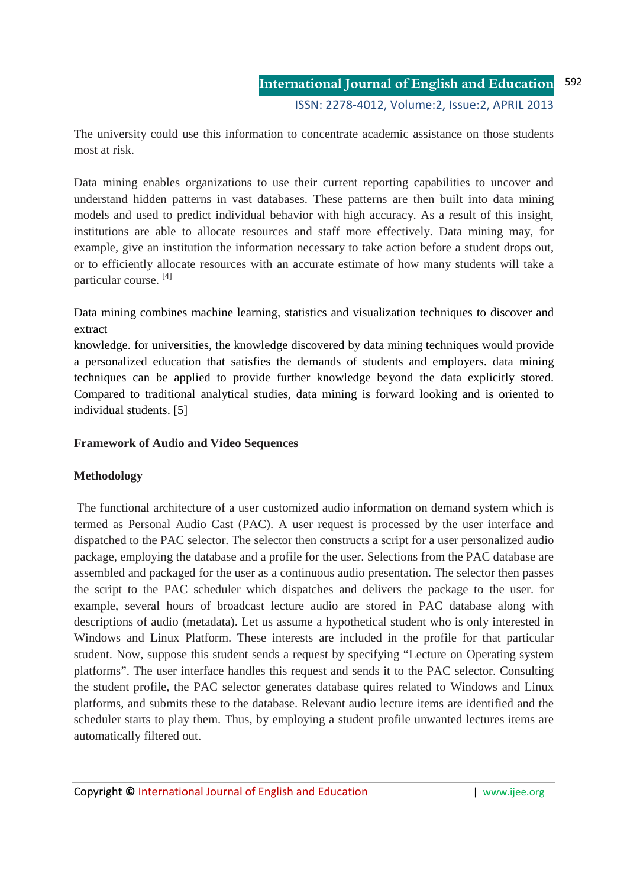The university could use this information to concentrate academic assistance on those students most at risk.

Data mining enables organizations to use their current reporting capabilities to uncover and understand hidden patterns in vast databases. These patterns are then built into data mining models and used to predict individual behavior with high accuracy. As a result of this insight, institutions are able to allocate resources and staff more effectively. Data mining may, for example, give an institution the information necessary to take action before a student drops out, or to efficiently allocate resources with an accurate estimate of how many students will take a particular course. [4]

Data mining combines machine learning, statistics and visualization techniques to discover and extract

knowledge. for universities, the knowledge discovered by data mining techniques would provide a personalized education that satisfies the demands of students and employers. data mining techniques can be applied to provide further knowledge beyond the data explicitly stored. Compared to traditional analytical studies, data mining is forward looking and is oriented to individual students. [5]

#### **Framework of Audio and Video Sequences**

#### **Methodology**

 The functional architecture of a user customized audio information on demand system which is termed as Personal Audio Cast (PAC). A user request is processed by the user interface and dispatched to the PAC selector. The selector then constructs a script for a user personalized audio package, employing the database and a profile for the user. Selections from the PAC database are assembled and packaged for the user as a continuous audio presentation. The selector then passes the script to the PAC scheduler which dispatches and delivers the package to the user. for example, several hours of broadcast lecture audio are stored in PAC database along with descriptions of audio (metadata). Let us assume a hypothetical student who is only interested in Windows and Linux Platform. These interests are included in the profile for that particular student. Now, suppose this student sends a request by specifying "Lecture on Operating system platforms". The user interface handles this request and sends it to the PAC selector. Consulting the student profile, the PAC selector generates database quires related to Windows and Linux platforms, and submits these to the database. Relevant audio lecture items are identified and the scheduler starts to play them. Thus, by employing a student profile unwanted lectures items are automatically filtered out.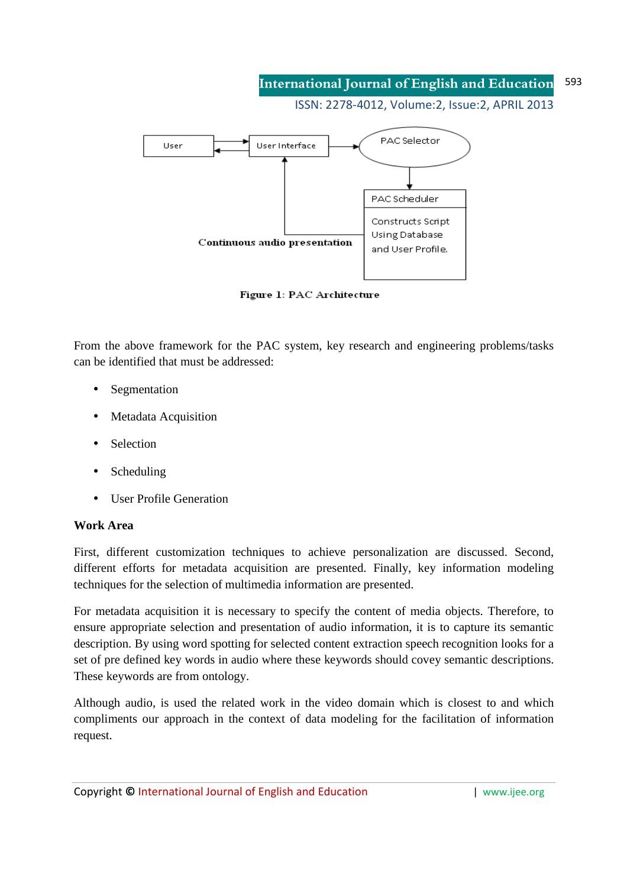#### **International Journal of English and Education** 593

ISSN: 2278-4012, Volume:2, Issue:2, APRIL 2013



Figure 1: PAC Architecture

From the above framework for the PAC system, key research and engineering problems/tasks can be identified that must be addressed:

- **Segmentation**
- Metadata Acquisition
- **Selection**
- **Scheduling**
- User Profile Generation

#### **Work Area**

First, different customization techniques to achieve personalization are discussed. Second, different efforts for metadata acquisition are presented. Finally, key information modeling techniques for the selection of multimedia information are presented.

For metadata acquisition it is necessary to specify the content of media objects. Therefore, to ensure appropriate selection and presentation of audio information, it is to capture its semantic description. By using word spotting for selected content extraction speech recognition looks for a set of pre defined key words in audio where these keywords should covey semantic descriptions. These keywords are from ontology.

Although audio, is used the related work in the video domain which is closest to and which compliments our approach in the context of data modeling for the facilitation of information request.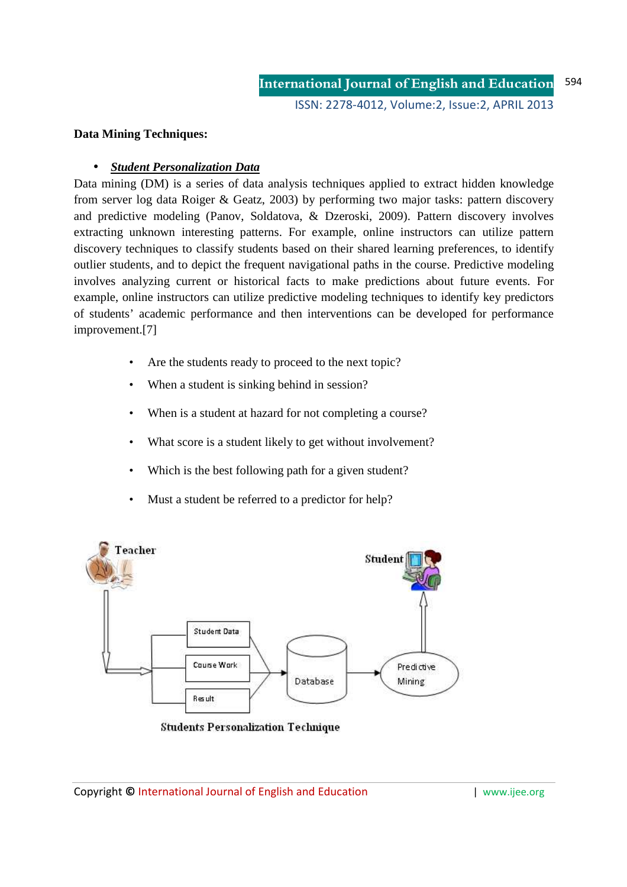#### **Data Mining Techniques:**

#### • *Student Personalization Data*

Data mining (DM) is a series of data analysis techniques applied to extract hidden knowledge from server log data Roiger & Geatz, 2003) by performing two major tasks: pattern discovery and predictive modeling (Panov, Soldatova, & Dzeroski, 2009). Pattern discovery involves extracting unknown interesting patterns. For example, online instructors can utilize pattern discovery techniques to classify students based on their shared learning preferences, to identify outlier students, and to depict the frequent navigational paths in the course. Predictive modeling involves analyzing current or historical facts to make predictions about future events. For example, online instructors can utilize predictive modeling techniques to identify key predictors of students' academic performance and then interventions can be developed for performance improvement.[7]

- Are the students ready to proceed to the next topic?
- When a student is sinking behind in session?
- When is a student at hazard for not completing a course?
- What score is a student likely to get without involvement?
- Which is the best following path for a given student?
- Must a student be referred to a predictor for help?



**Students Personalization Technique**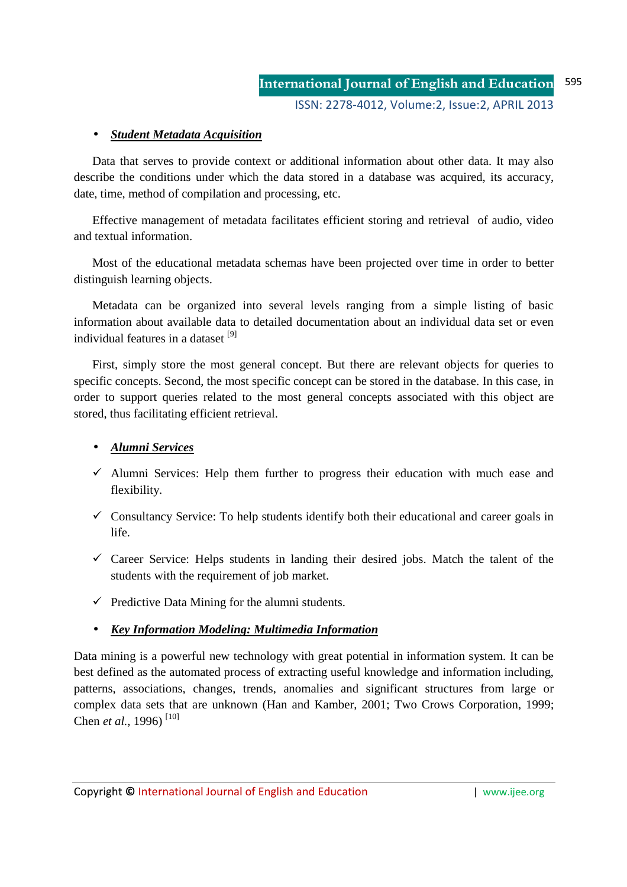# • *Student Metadata Acquisition*

Data that serves to provide context or additional information about other data. It may also describe the conditions under which the data stored in a database was acquired, its accuracy, date, time, method of compilation and processing, etc.

Effective management of metadata facilitates efficient storing and retrieval of audio, video and textual information.

Most of the educational metadata schemas have been projected over time in order to better distinguish learning objects.

Metadata can be organized into several levels ranging from a simple listing of basic information about available data to detailed documentation about an individual data set or even individual features in a dataset [9]

First, simply store the most general concept. But there are relevant objects for queries to specific concepts. Second, the most specific concept can be stored in the database. In this case, in order to support queries related to the most general concepts associated with this object are stored, thus facilitating efficient retrieval.

#### • *Alumni Services*

- $\checkmark$  Alumni Services: Help them further to progress their education with much ease and flexibility.
- $\checkmark$  Consultancy Service: To help students identify both their educational and career goals in life.
- $\checkmark$  Career Service: Helps students in landing their desired jobs. Match the talent of the students with the requirement of job market.
- $\checkmark$  Predictive Data Mining for the alumni students.

#### • *Key Information Modeling: Multimedia Information*

Data mining is a powerful new technology with great potential in information system. It can be best defined as the automated process of extracting useful knowledge and information including, patterns, associations, changes, trends, anomalies and significant structures from large or complex data sets that are unknown (Han and Kamber, 2001; Two Crows Corporation, 1999; Chen *et al.*, 1996) [10]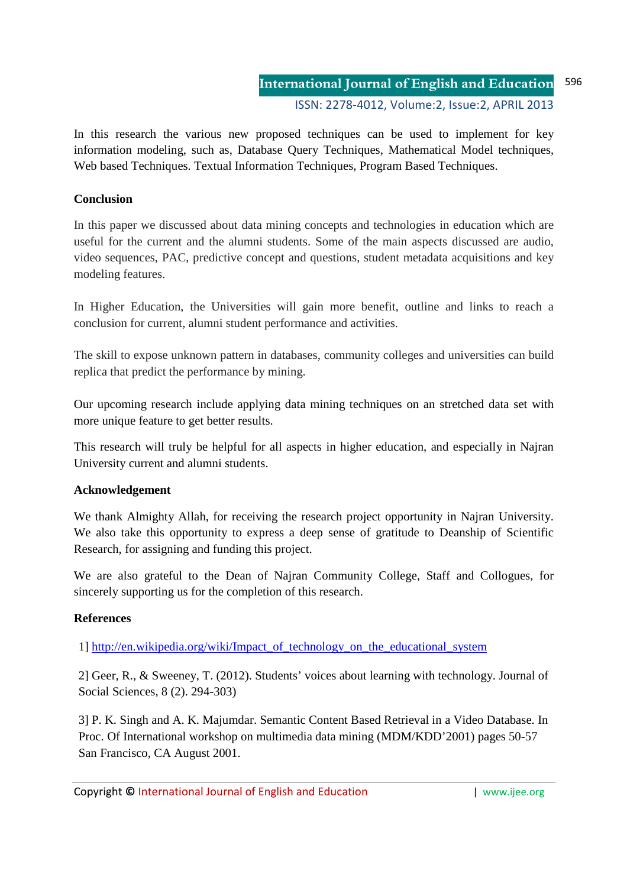In this research the various new proposed techniques can be used to implement for key information modeling, such as, Database Query Techniques, Mathematical Model techniques, Web based Techniques. Textual Information Techniques, Program Based Techniques.

# **Conclusion**

In this paper we discussed about data mining concepts and technologies in education which are useful for the current and the alumni students. Some of the main aspects discussed are audio, video sequences, PAC, predictive concept and questions, student metadata acquisitions and key modeling features.

In Higher Education, the Universities will gain more benefit, outline and links to reach a conclusion for current, alumni student performance and activities.

The skill to expose unknown pattern in databases, community colleges and universities can build replica that predict the performance by mining.

Our upcoming research include applying data mining techniques on an stretched data set with more unique feature to get better results.

This research will truly be helpful for all aspects in higher education, and especially in Najran University current and alumni students.

#### **Acknowledgement**

We thank Almighty Allah, for receiving the research project opportunity in Najran University. We also take this opportunity to express a deep sense of gratitude to Deanship of Scientific Research, for assigning and funding this project.

We are also grateful to the Dean of Najran Community College, Staff and Collogues, for sincerely supporting us for the completion of this research.

# **References**

1] http://en.wikipedia.org/wiki/Impact\_of\_technology\_on\_the\_educational\_system

2] Geer, R., & Sweeney, T. (2012). Students' voices about learning with technology. Journal of Social Sciences, 8 (2). 294-303)

3] P. K. Singh and A. K. Majumdar. Semantic Content Based Retrieval in a Video Database. In Proc. Of International workshop on multimedia data mining (MDM/KDD'2001) pages 50-57 San Francisco, CA August 2001.